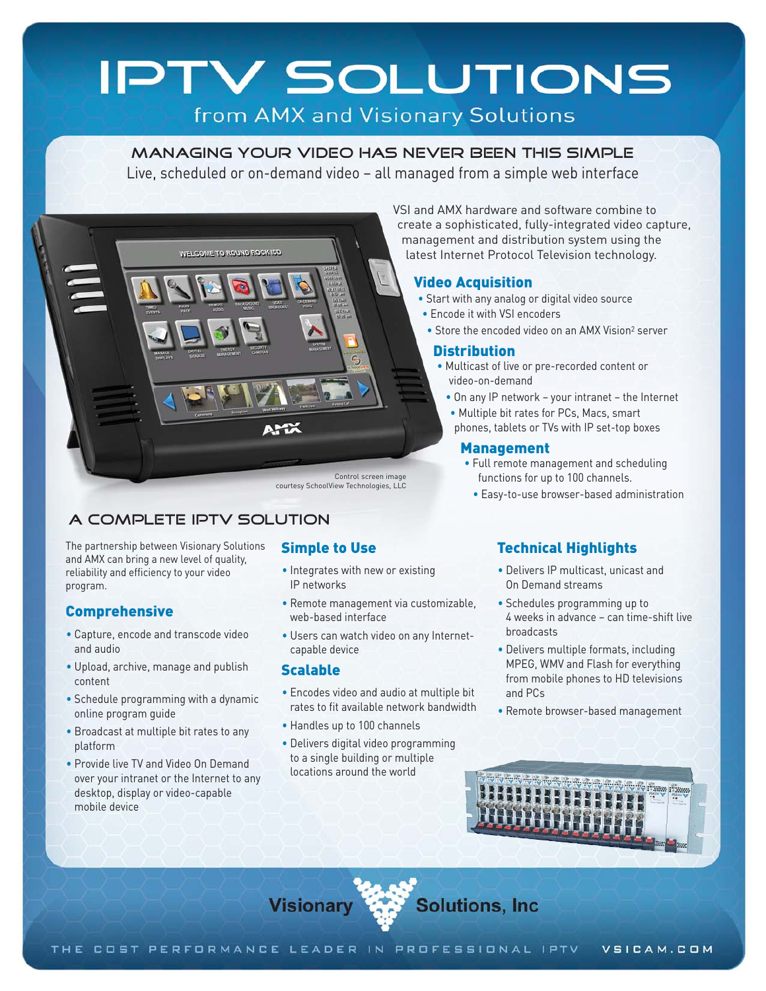# **IPTV SOLUTIONS**

# from AMX and Visionary Solutions

#### Managing your video has never been this simple

Live, scheduled or on-demand video – all managed from a simple web interface



# A complete IPTV solution

The partnership between Visionary Solutions and AMX can bring a new level of quality, reliability and efficiency to your video program.

#### Comprehensive

- Capture, encode and transcode video and audio
- Upload, archive, manage and publish content
- Schedule programming with a dynamic online program guide
- Broadcast at multiple bit rates to any platform
- Provide live TV and Video On Demand over your intranet or the Internet to any desktop, display or video-capable mobile device

#### Simple to Use

- Integrates with new or existing IP networks
- Remote management via customizable, web-based interface
- Users can watch video on any Internetcapable device

#### Scalable

- Encodes video and audio at multiple bit rates to fit available network bandwidth
- Handles up to 100 channels
- Delivers digital video programming to a single building or multiple locations around the world

VSI and AMX hardware and software combine to create a sophisticated, fully-integrated video capture, management and distribution system using the latest Internet Protocol Television technology.

#### Video Acquisition

- Start with any analog or digital video source
- Encode it with VSI encoders
- Store the encoded video on an AMX Vision<sup>2</sup> server

#### **Distribution**

- Multicast of live or pre-recorded content or video-on-demand
	- On any IP network your intranet the Internet
	- Multiple bit rates for PCs, Macs, smart phones, tablets or TVs with IP set-top boxes

#### Management

- Full remote management and scheduling functions for up to 100 channels.
	- Easy-to-use browser-based administration

## Technical Highlights

- Delivers IP multicast, unicast and On Demand streams
- Schedules programming up to 4 weeks in advance – can time-shift live broadcasts
- Delivers multiple formats, including MPEG, WMV and Flash for everything from mobile phones to HD televisions and PCs
- Remote browser-based management



Visionary Solutions, Inc.